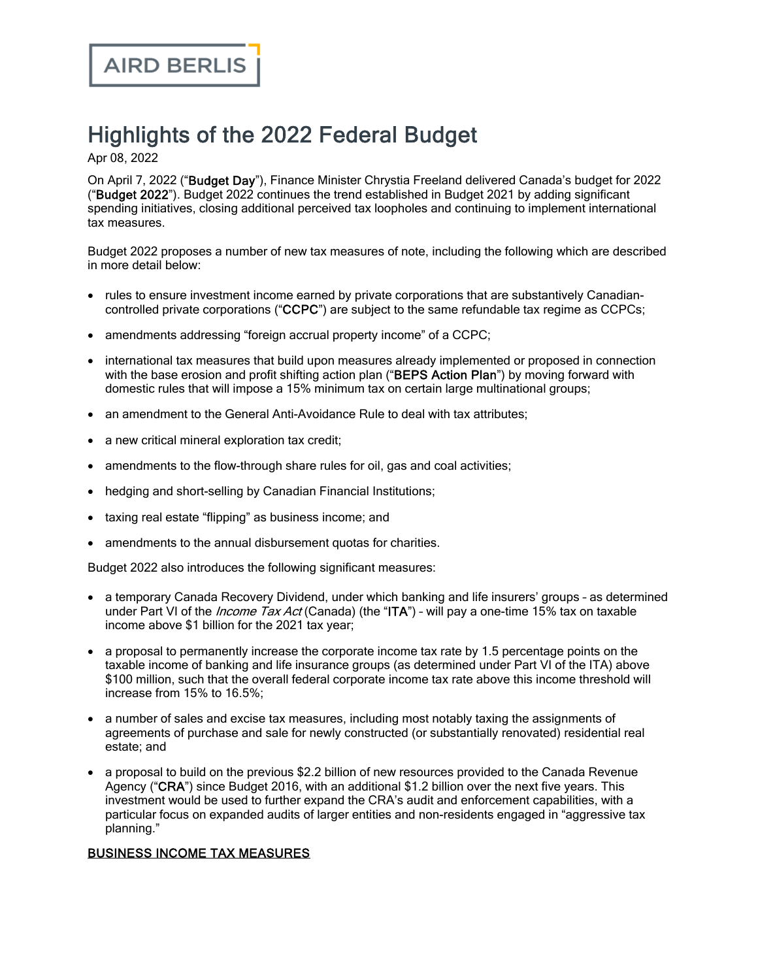# Highlights of the 2022 Federal Budget

Apr 08, 2022

On April 7, 2022 ("Budget Day"), Finance Minister Chrystia Freeland delivered Canada's budget for 2022 ("Budget 2022"). Budget 2022 continues the trend established in Budget 2021 by adding significant spending initiatives, closing additional perceived tax loopholes and continuing to implement international tax measures.

Budget 2022 proposes a number of new tax measures of note, including the following which are described in more detail below:

- · rules to ensure investment income earned by private corporations that are substantively Canadiancontrolled private corporations ("CCPC") are subject to the same refundable tax regime as CCPCs;
- amendments addressing "foreign accrual property income" of a CCPC;
- · international tax measures that build upon measures already implemented or proposed in connection with the base erosion and profit shifting action plan ("BEPS Action Plan") by moving forward with domestic rules that will impose a 15% minimum tax on certain large multinational groups;
- an amendment to the General Anti-Avoidance Rule to deal with tax attributes;
- a new critical mineral exploration tax credit;
- amendments to the flow-through share rules for oil, gas and coal activities;
- hedging and short-selling by Canadian Financial Institutions;
- taxing real estate "flipping" as business income; and
- amendments to the annual disbursement quotas for charities.

Budget 2022 also introduces the following significant measures:

- · a temporary Canada Recovery Dividend, under which banking and life insurers' groups as determined under Part VI of the *Income Tax Act* (Canada) (the "ITA") - will pay a one-time 15% tax on taxable income above \$1 billion for the 2021 tax year;
- · a proposal to permanently increase the corporate income tax rate by 1.5 percentage points on the taxable income of banking and life insurance groups (as determined under Part VI of the ITA) above \$100 million, such that the overall federal corporate income tax rate above this income threshold will increase from 15% to 16.5%;
- · a number of sales and excise tax measures, including most notably taxing the assignments of agreements of purchase and sale for newly constructed (or substantially renovated) residential real estate; and
- · a proposal to build on the previous \$2.2 billion of new resources provided to the Canada Revenue Agency ("CRA") since Budget 2016, with an additional \$1.2 billion over the next five years. This investment would be used to further expand the CRA's audit and enforcement capabilities, with a particular focus on expanded audits of larger entities and non-residents engaged in "aggressive tax planning."

# BUSINESS INCOME TAX MEASURES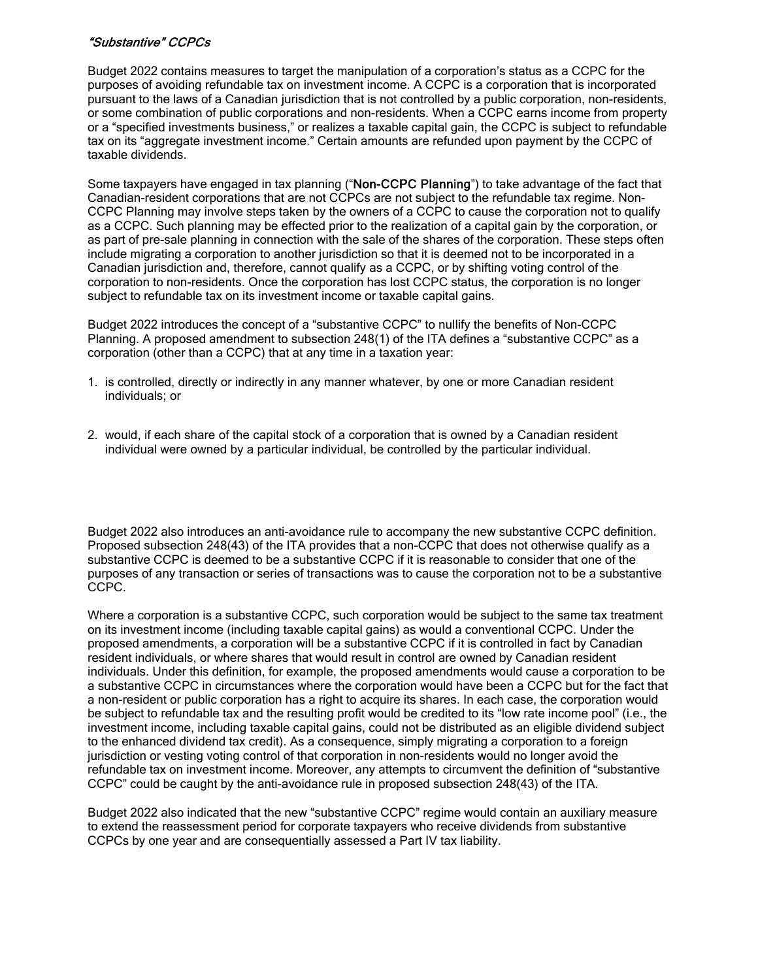# "Substantive" CCPCs

Budget 2022 contains measures to target the manipulation of a corporation's status as a CCPC for the purposes of avoiding refundable tax on investment income. A CCPC is a corporation that is incorporated pursuant to the laws of a Canadian jurisdiction that is not controlled by a public corporation, non-residents, or some combination of public corporations and non-residents. When a CCPC earns income from property or a "specified investments business," or realizes a taxable capital gain, the CCPC is subject to refundable tax on its "aggregate investment income." Certain amounts are refunded upon payment by the CCPC of taxable dividends.

Some taxpayers have engaged in tax planning ("Non-CCPC Planning") to take advantage of the fact that Canadian-resident corporations that are not CCPCs are not subject to the refundable tax regime. Non-CCPC Planning may involve steps taken by the owners of a CCPC to cause the corporation not to qualify as a CCPC. Such planning may be effected prior to the realization of a capital gain by the corporation, or as part of pre-sale planning in connection with the sale of the shares of the corporation. These steps often include migrating a corporation to another jurisdiction so that it is deemed not to be incorporated in a Canadian jurisdiction and, therefore, cannot qualify as a CCPC, or by shifting voting control of the corporation to non-residents. Once the corporation has lost CCPC status, the corporation is no longer subject to refundable tax on its investment income or taxable capital gains.

Budget 2022 introduces the concept of a "substantive CCPC" to nullify the benefits of Non-CCPC Planning. A proposed amendment to subsection 248(1) of the ITA defines a "substantive CCPC" as a corporation (other than a CCPC) that at any time in a taxation year:

- 1. is controlled, directly or indirectly in any manner whatever, by one or more Canadian resident individuals; or
- 2. would, if each share of the capital stock of a corporation that is owned by a Canadian resident individual were owned by a particular individual, be controlled by the particular individual.

Budget 2022 also introduces an anti-avoidance rule to accompany the new substantive CCPC definition. Proposed subsection 248(43) of the ITA provides that a non-CCPC that does not otherwise qualify as a substantive CCPC is deemed to be a substantive CCPC if it is reasonable to consider that one of the purposes of any transaction or series of transactions was to cause the corporation not to be a substantive CCPC.

Where a corporation is a substantive CCPC, such corporation would be subject to the same tax treatment on its investment income (including taxable capital gains) as would a conventional CCPC. Under the proposed amendments, a corporation will be a substantive CCPC if it is controlled in fact by Canadian resident individuals, or where shares that would result in control are owned by Canadian resident individuals. Under this definition, for example, the proposed amendments would cause a corporation to be a substantive CCPC in circumstances where the corporation would have been a CCPC but for the fact that a non-resident or public corporation has a right to acquire its shares. In each case, the corporation would be subject to refundable tax and the resulting profit would be credited to its "low rate income pool" (i.e., the investment income, including taxable capital gains, could not be distributed as an eligible dividend subject to the enhanced dividend tax credit). As a consequence, simply migrating a corporation to a foreign jurisdiction or vesting voting control of that corporation in non-residents would no longer avoid the refundable tax on investment income. Moreover, any attempts to circumvent the definition of "substantive CCPC" could be caught by the anti-avoidance rule in proposed subsection 248(43) of the ITA.

Budget 2022 also indicated that the new "substantive CCPC" regime would contain an auxiliary measure to extend the reassessment period for corporate taxpayers who receive dividends from substantive CCPCs by one year and are consequentially assessed a Part IV tax liability.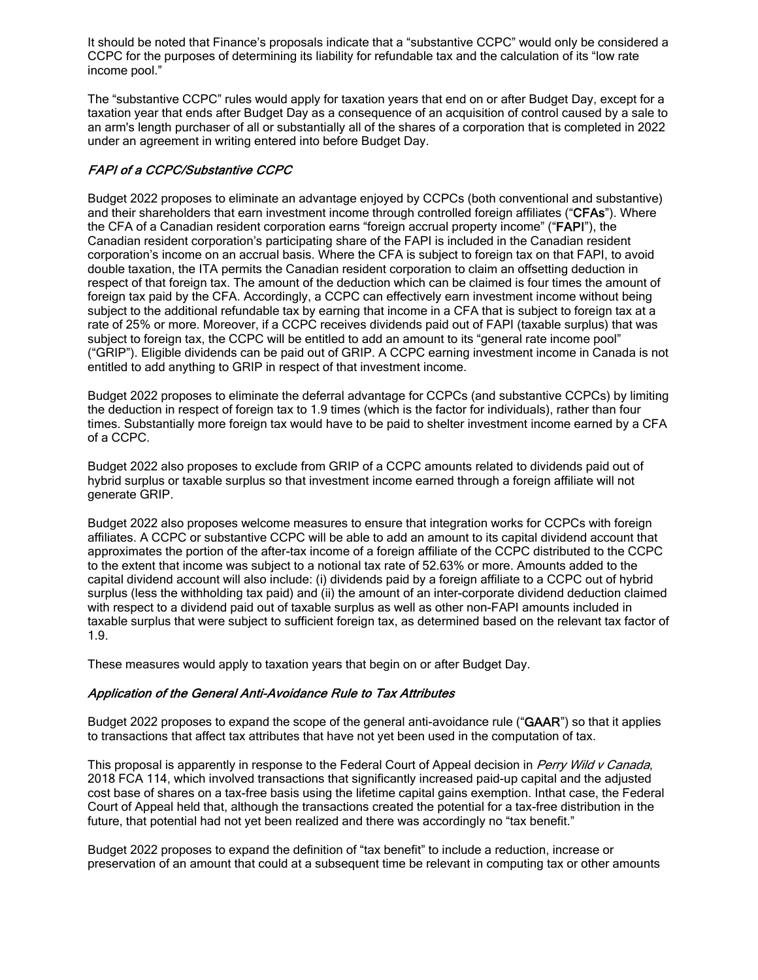It should be noted that Finance's proposals indicate that a "substantive CCPC" would only be considered a CCPC for the purposes of determining its liability for refundable tax and the calculation of its "low rate income pool."

The "substantive CCPC" rules would apply for taxation years that end on or after Budget Day, except for a taxation year that ends after Budget Day as a consequence of an acquisition of control caused by a sale to an arm's length purchaser of all or substantially all of the shares of a corporation that is completed in 2022 under an agreement in writing entered into before Budget Day.

# FAPI of a CCPC/Substantive CCPC

Budget 2022 proposes to eliminate an advantage enjoyed by CCPCs (both conventional and substantive) and their shareholders that earn investment income through controlled foreign affiliates ("CFAs"). Where the CFA of a Canadian resident corporation earns "foreign accrual property income" ("FAPI"), the Canadian resident corporation's participating share of the FAPI is included in the Canadian resident corporation's income on an accrual basis. Where the CFA is subject to foreign tax on that FAPI, to avoid double taxation, the ITA permits the Canadian resident corporation to claim an offsetting deduction in respect of that foreign tax. The amount of the deduction which can be claimed is four times the amount of foreign tax paid by the CFA. Accordingly, a CCPC can effectively earn investment income without being subject to the additional refundable tax by earning that income in a CFA that is subject to foreign tax at a rate of 25% or more. Moreover, if a CCPC receives dividends paid out of FAPI (taxable surplus) that was subject to foreign tax, the CCPC will be entitled to add an amount to its "general rate income pool" ("GRIP"). Eligible dividends can be paid out of GRIP. A CCPC earning investment income in Canada is not entitled to add anything to GRIP in respect of that investment income.

Budget 2022 proposes to eliminate the deferral advantage for CCPCs (and substantive CCPCs) by limiting the deduction in respect of foreign tax to 1.9 times (which is the factor for individuals), rather than four times. Substantially more foreign tax would have to be paid to shelter investment income earned by a CFA of a CCPC.

Budget 2022 also proposes to exclude from GRIP of a CCPC amounts related to dividends paid out of hybrid surplus or taxable surplus so that investment income earned through a foreign affiliate will not generate GRIP.

Budget 2022 also proposes welcome measures to ensure that integration works for CCPCs with foreign affiliates. A CCPC or substantive CCPC will be able to add an amount to its capital dividend account that approximates the portion of the after-tax income of a foreign affiliate of the CCPC distributed to the CCPC to the extent that income was subject to a notional tax rate of 52.63% or more. Amounts added to the capital dividend account will also include: (i) dividends paid by a foreign affiliate to a CCPC out of hybrid surplus (less the withholding tax paid) and (ii) the amount of an inter-corporate dividend deduction claimed with respect to a dividend paid out of taxable surplus as well as other non-FAPI amounts included in taxable surplus that were subject to sufficient foreign tax, as determined based on the relevant tax factor of 1.9.

These measures would apply to taxation years that begin on or after Budget Day.

# Application of the General Anti-Avoidance Rule to Tax Attributes

Budget 2022 proposes to expand the scope of the general anti-avoidance rule ("GAAR") so that it applies to transactions that affect tax attributes that have not yet been used in the computation of tax.

This proposal is apparently in response to the Federal Court of Appeal decision in Perry Wild v Canada, 2018 FCA 114, which involved transactions that significantly increased paid-up capital and the adjusted cost base of shares on a tax-free basis using the lifetime capital gains exemption. Inthat case, the Federal Court of Appeal held that, although the transactions created the potential for a tax-free distribution in the future, that potential had not yet been realized and there was accordingly no "tax benefit."

Budget 2022 proposes to expand the definition of "tax benefit" to include a reduction, increase or preservation of an amount that could at a subsequent time be relevant in computing tax or other amounts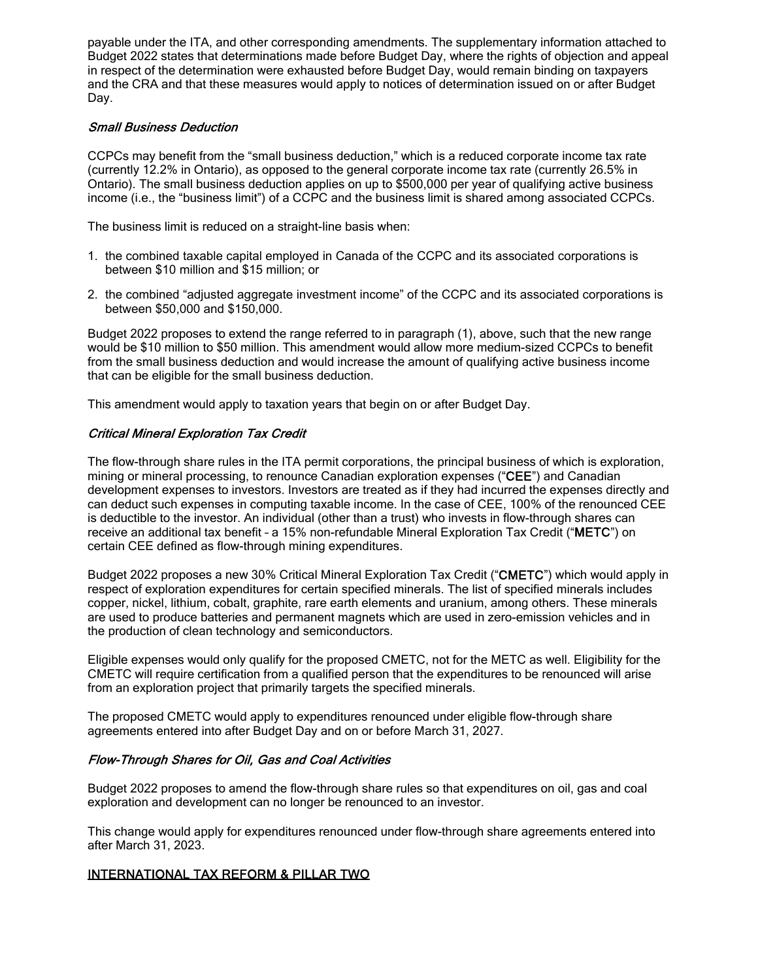payable under the ITA, and other corresponding amendments. The supplementary information attached to Budget 2022 states that determinations made before Budget Day, where the rights of objection and appeal in respect of the determination were exhausted before Budget Day, would remain binding on taxpayers and the CRA and that these measures would apply to notices of determination issued on or after Budget Dav.

#### Small Business Deduction

CCPCs may benefit from the "small business deduction," which is a reduced corporate income tax rate (currently 12.2% in Ontario), as opposed to the general corporate income tax rate (currently 26.5% in Ontario). The small business deduction applies on up to \$500,000 per year of qualifying active business income (i.e., the "business limit") of a CCPC and the business limit is shared among associated CCPCs.

The business limit is reduced on a straight-line basis when:

- 1. the combined taxable capital employed in Canada of the CCPC and its associated corporations is between \$10 million and \$15 million; or
- 2. the combined "adjusted aggregate investment income" of the CCPC and its associated corporations is between \$50,000 and \$150,000.

Budget 2022 proposes to extend the range referred to in paragraph (1), above, such that the new range would be \$10 million to \$50 million. This amendment would allow more medium-sized CCPCs to benefit from the small business deduction and would increase the amount of qualifying active business income that can be eligible for the small business deduction.

This amendment would apply to taxation years that begin on or after Budget Day.

# Critical Mineral Exploration Tax Credit

The flow-through share rules in the ITA permit corporations, the principal business of which is exploration, mining or mineral processing, to renounce Canadian exploration expenses ("CEE") and Canadian development expenses to investors. Investors are treated as if they had incurred the expenses directly and can deduct such expenses in computing taxable income. In the case of CEE, 100% of the renounced CEE is deductible to the investor. An individual (other than a trust) who invests in flow-through shares can receive an additional tax benefit – a 15% non-refundable Mineral Exploration Tax Credit ("METC") on certain CEE defined as flow-through mining expenditures.

Budget 2022 proposes a new 30% Critical Mineral Exploration Tax Credit ("CMETC") which would apply in respect of exploration expenditures for certain specified minerals. The list of specified minerals includes copper, nickel, lithium, cobalt, graphite, rare earth elements and uranium, among others. These minerals are used to produce batteries and permanent magnets which are used in zero-emission vehicles and in the production of clean technology and semiconductors.

Eligible expenses would only qualify for the proposed CMETC, not for the METC as well. Eligibility for the CMETC will require certification from a qualified person that the expenditures to be renounced will arise from an exploration project that primarily targets the specified minerals.

The proposed CMETC would apply to expenditures renounced under eligible flow-through share agreements entered into after Budget Day and on or before March 31, 2027.

#### Flow-Through Shares for Oil, Gas and Coal Activities

Budget 2022 proposes to amend the flow-through share rules so that expenditures on oil, gas and coal exploration and development can no longer be renounced to an investor.

This change would apply for expenditures renounced under flow-through share agreements entered into after March 31, 2023.

# INTERNATIONAL TAX REFORM & PILLAR TWO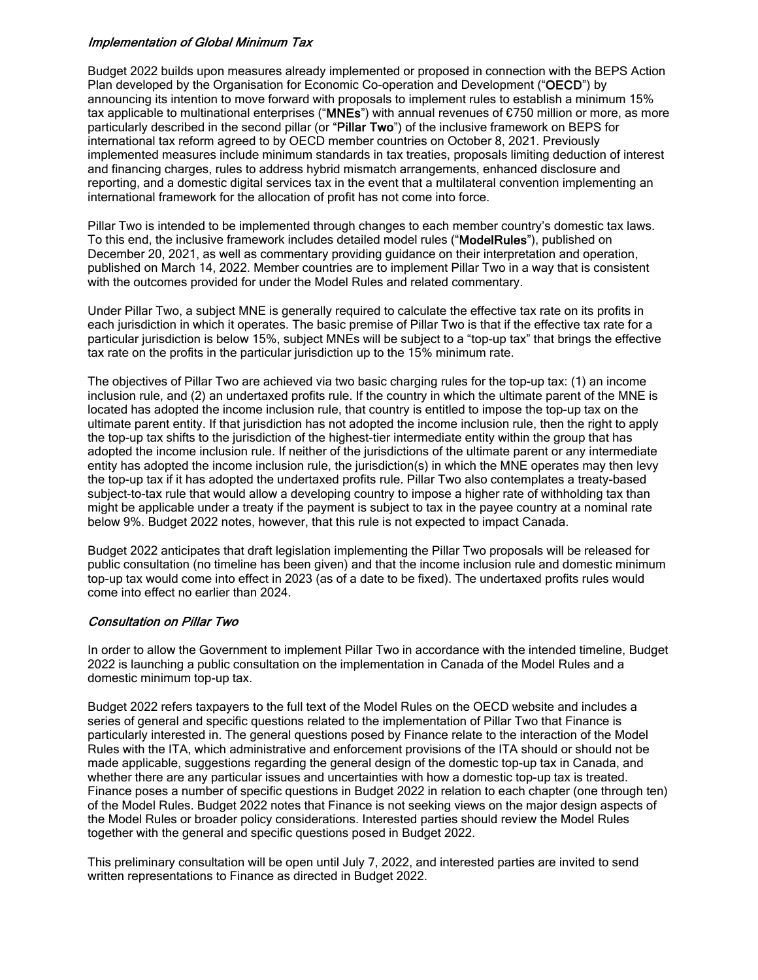#### Implementation of Global Minimum Tax

Budget 2022 builds upon measures already implemented or proposed in connection with the BEPS Action Plan developed by the Organisation for Economic Co-operation and Development ("OECD") by announcing its intention to move forward with proposals to implement rules to establish a minimum 15% tax applicable to multinational enterprises ("MNEs") with annual revenues of €750 million or more, as more particularly described in the second pillar (or "Pillar Two") of the inclusive framework on BEPS for international tax reform agreed to by OECD member countries on October 8, 2021. Previously implemented measures include minimum standards in tax treaties, proposals limiting deduction of interest and financing charges, rules to address hybrid mismatch arrangements, enhanced disclosure and reporting, and a domestic digital services tax in the event that a multilateral convention implementing an international framework for the allocation of profit has not come into force.

Pillar Two is intended to be implemented through changes to each member country's domestic tax laws. To this end, the inclusive framework includes detailed model rules ("ModelRules"), published on December 20, 2021, as well as commentary providing guidance on their interpretation and operation, published on March 14, 2022. Member countries are to implement Pillar Two in a way that is consistent with the outcomes provided for under the Model Rules and related commentary.

Under Pillar Two, a subject MNE is generally required to calculate the effective tax rate on its profits in each jurisdiction in which it operates. The basic premise of Pillar Two is that if the effective tax rate for a particular jurisdiction is below 15%, subject MNEs will be subject to a "top-up tax" that brings the effective tax rate on the profits in the particular jurisdiction up to the 15% minimum rate.

The objectives of Pillar Two are achieved via two basic charging rules for the top-up tax: (1) an income inclusion rule, and (2) an undertaxed profits rule. If the country in which the ultimate parent of the MNE is located has adopted the income inclusion rule, that country is entitled to impose the top-up tax on the ultimate parent entity. If that jurisdiction has not adopted the income inclusion rule, then the right to apply the top-up tax shifts to the jurisdiction of the highest-tier intermediate entity within the group that has adopted the income inclusion rule. If neither of the jurisdictions of the ultimate parent or any intermediate entity has adopted the income inclusion rule, the jurisdiction(s) in which the MNE operates may then levy the top-up tax if it has adopted the undertaxed profits rule. Pillar Two also contemplates a treaty-based subject-to-tax rule that would allow a developing country to impose a higher rate of withholding tax than might be applicable under a treaty if the payment is subject to tax in the payee country at a nominal rate below 9%. Budget 2022 notes, however, that this rule is not expected to impact Canada.

Budget 2022 anticipates that draft legislation implementing the Pillar Two proposals will be released for public consultation (no timeline has been given) and that the income inclusion rule and domestic minimum top-up tax would come into effect in 2023 (as of a date to be fixed). The undertaxed profits rules would come into effect no earlier than 2024.

# Consultation on Pillar Two

In order to allow the Government to implement Pillar Two in accordance with the intended timeline, Budget 2022 is launching a public consultation on the implementation in Canada of the Model Rules and a domestic minimum top-up tax.

Budget 2022 refers taxpayers to the full text of the Model Rules on the OECD website and includes a series of general and specific questions related to the implementation of Pillar Two that Finance is particularly interested in. The general questions posed by Finance relate to the interaction of the Model Rules with the ITA, which administrative and enforcement provisions of the ITA should or should not be made applicable, suggestions regarding the general design of the domestic top-up tax in Canada, and whether there are any particular issues and uncertainties with how a domestic top-up tax is treated. Finance poses a number of specific questions in Budget 2022 in relation to each chapter (one through ten) of the Model Rules. Budget 2022 notes that Finance is not seeking views on the major design aspects of the Model Rules or broader policy considerations. Interested parties should review the Model Rules together with the general and specific questions posed in Budget 2022.

This preliminary consultation will be open until July 7, 2022, and interested parties are invited to send written representations to Finance as directed in Budget 2022.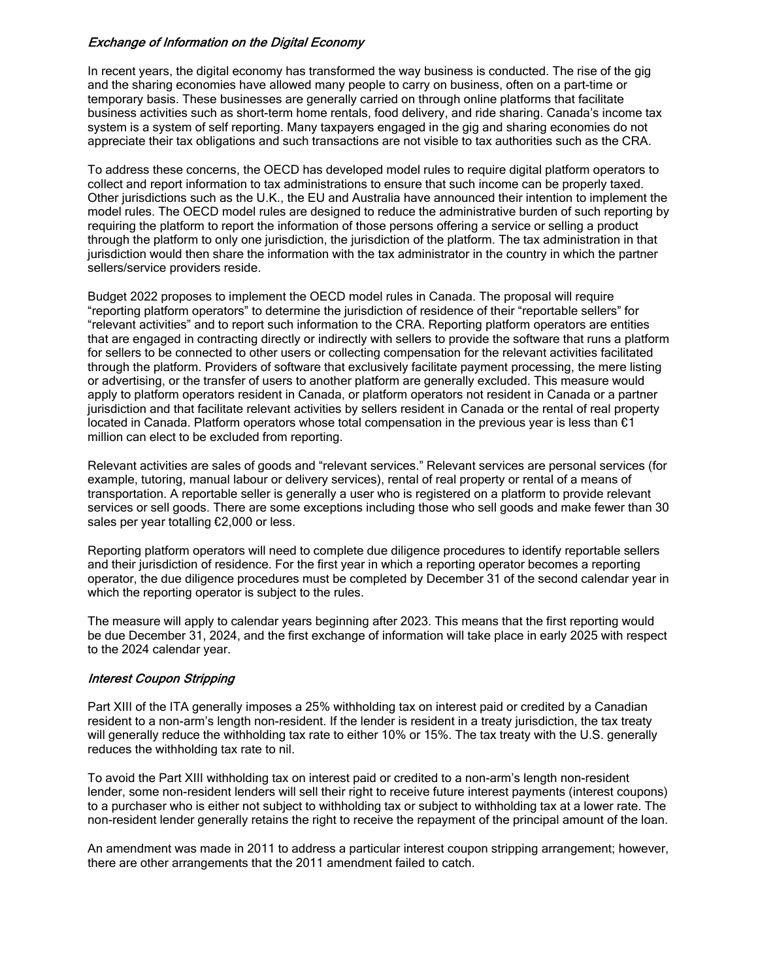# Exchange of Information on the Digital Economy

In recent years, the digital economy has transformed the way business is conducted. The rise of the gig and the sharing economies have allowed many people to carry on business, often on a part-time or temporary basis. These businesses are generally carried on through online platforms that facilitate business activities such as short-term home rentals, food delivery, and ride sharing. Canada's income tax system is a system of self reporting. Many taxpayers engaged in the gig and sharing economies do not appreciate their tax obligations and such transactions are not visible to tax authorities such as the CRA.

To address these concerns, the OECD has developed model rules to require digital platform operators to collect and report information to tax administrations to ensure that such income can be properly taxed. Other jurisdictions such as the U.K., the EU and Australia have announced their intention to implement the model rules. The OECD model rules are designed to reduce the administrative burden of such reporting by requiring the platform to report the information of those persons offering a service or selling a product through the platform to only one jurisdiction, the jurisdiction of the platform. The tax administration in that jurisdiction would then share the information with the tax administrator in the country in which the partner sellers/service providers reside.

Budget 2022 proposes to implement the OECD model rules in Canada. The proposal will require "reporting platform operators" to determine the jurisdiction of residence of their "reportable sellers" for "relevant activities" and to report such information to the CRA. Reporting platform operators are entities that are engaged in contracting directly or indirectly with sellers to provide the software that runs a platform for sellers to be connected to other users or collecting compensation for the relevant activities facilitated through the platform. Providers of software that exclusively facilitate payment processing, the mere listing or advertising, or the transfer of users to another platform are generally excluded. This measure would apply to platform operators resident in Canada, or platform operators not resident in Canada or a partner jurisdiction and that facilitate relevant activities by sellers resident in Canada or the rental of real property located in Canada. Platform operators whose total compensation in the previous year is less than  $\epsilon$ 1 million can elect to be excluded from reporting.

Relevant activities are sales of goods and "relevant services." Relevant services are personal services (for example, tutoring, manual labour or delivery services), rental of real property or rental of a means of transportation. A reportable seller is generally a user who is registered on a platform to provide relevant services or sell goods. There are some exceptions including those who sell goods and make fewer than 30 sales per year totalling €2,000 or less.

Reporting platform operators will need to complete due diligence procedures to identify reportable sellers and their jurisdiction of residence. For the first year in which a reporting operator becomes a reporting operator, the due diligence procedures must be completed by December 31 of the second calendar year in which the reporting operator is subject to the rules.

The measure will apply to calendar years beginning after 2023. This means that the first reporting would be due December 31, 2024, and the first exchange of information will take place in early 2025 with respect to the 2024 calendar year.

# Interest Coupon Stripping

Part XIII of the ITA generally imposes a 25% withholding tax on interest paid or credited by a Canadian resident to a non-arm's length non-resident. If the lender is resident in a treaty jurisdiction, the tax treaty will generally reduce the withholding tax rate to either 10% or 15%. The tax treaty with the U.S. generally reduces the withholding tax rate to nil.

To avoid the Part XIII withholding tax on interest paid or credited to a non-arm's length non-resident lender, some non-resident lenders will sell their right to receive future interest payments (interest coupons) to a purchaser who is either not subject to withholding tax or subject to withholding tax at a lower rate. The non-resident lender generally retains the right to receive the repayment of the principal amount of the loan.

An amendment was made in 2011 to address a particular interest coupon stripping arrangement; however, there are other arrangements that the 2011 amendment failed to catch.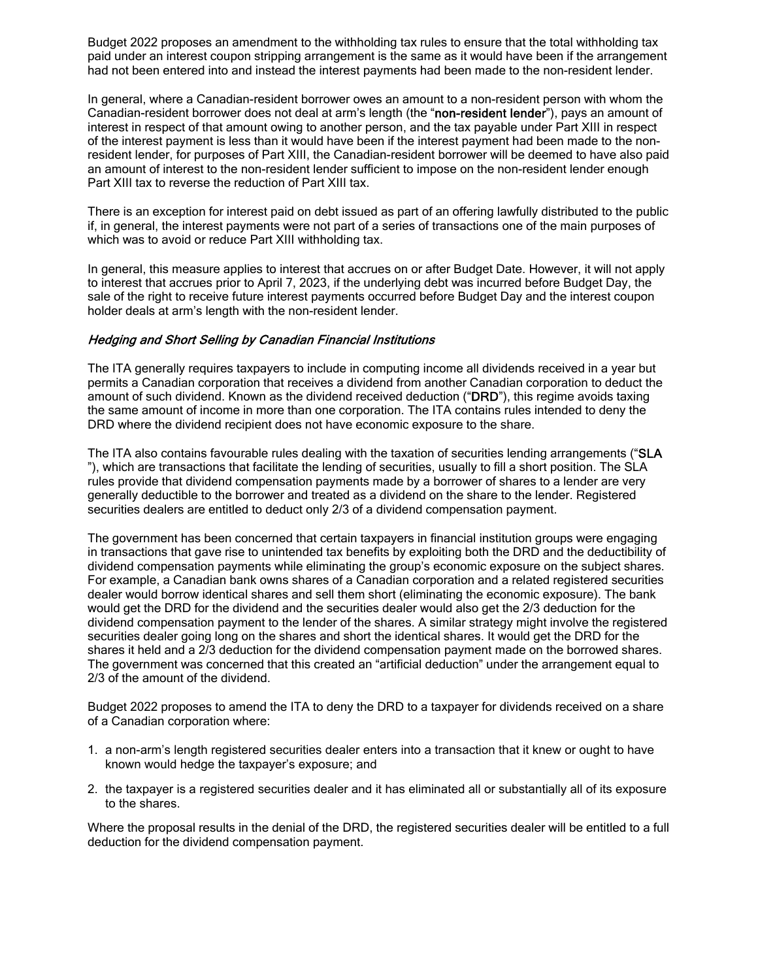Budget 2022 proposes an amendment to the withholding tax rules to ensure that the total withholding tax paid under an interest coupon stripping arrangement is the same as it would have been if the arrangement had not been entered into and instead the interest payments had been made to the non-resident lender.

In general, where a Canadian-resident borrower owes an amount to a non-resident person with whom the Canadian-resident borrower does not deal at arm's length (the "non-resident lender"), pays an amount of interest in respect of that amount owing to another person, and the tax payable under Part XIII in respect of the interest payment is less than it would have been if the interest payment had been made to the nonresident lender, for purposes of Part XIII, the Canadian-resident borrower will be deemed to have also paid an amount of interest to the non-resident lender sufficient to impose on the non-resident lender enough Part XIII tax to reverse the reduction of Part XIII tax.

There is an exception for interest paid on debt issued as part of an offering lawfully distributed to the public if, in general, the interest payments were not part of a series of transactions one of the main purposes of which was to avoid or reduce Part XIII withholding tax.

In general, this measure applies to interest that accrues on or after Budget Date. However, it will not apply to interest that accrues prior to April 7, 2023, if the underlying debt was incurred before Budget Day, the sale of the right to receive future interest payments occurred before Budget Day and the interest coupon holder deals at arm's length with the non-resident lender.

#### Hedging and Short Selling by Canadian Financial Institutions

The ITA generally requires taxpayers to include in computing income all dividends received in a year but permits a Canadian corporation that receives a dividend from another Canadian corporation to deduct the amount of such dividend. Known as the dividend received deduction ("DRD"), this regime avoids taxing the same amount of income in more than one corporation. The ITA contains rules intended to deny the DRD where the dividend recipient does not have economic exposure to the share.

The ITA also contains favourable rules dealing with the taxation of securities lending arrangements ("SLA "), which are transactions that facilitate the lending of securities, usually to fill a short position. The SLA rules provide that dividend compensation payments made by a borrower of shares to a lender are very generally deductible to the borrower and treated as a dividend on the share to the lender. Registered securities dealers are entitled to deduct only 2/3 of a dividend compensation payment.

The government has been concerned that certain taxpayers in financial institution groups were engaging in transactions that gave rise to unintended tax benefits by exploiting both the DRD and the deductibility of dividend compensation payments while eliminating the group's economic exposure on the subject shares. For example, a Canadian bank owns shares of a Canadian corporation and a related registered securities dealer would borrow identical shares and sell them short (eliminating the economic exposure). The bank would get the DRD for the dividend and the securities dealer would also get the 2/3 deduction for the dividend compensation payment to the lender of the shares. A similar strategy might involve the registered securities dealer going long on the shares and short the identical shares. It would get the DRD for the shares it held and a 2/3 deduction for the dividend compensation payment made on the borrowed shares. The government was concerned that this created an "artificial deduction" under the arrangement equal to 2/3 of the amount of the dividend.

Budget 2022 proposes to amend the ITA to deny the DRD to a taxpayer for dividends received on a share of a Canadian corporation where:

- 1. a non-arm's length registered securities dealer enters into a transaction that it knew or ought to have known would hedge the taxpayer's exposure; and
- 2. the taxpayer is a registered securities dealer and it has eliminated all or substantially all of its exposure to the shares.

Where the proposal results in the denial of the DRD, the registered securities dealer will be entitled to a full deduction for the dividend compensation payment.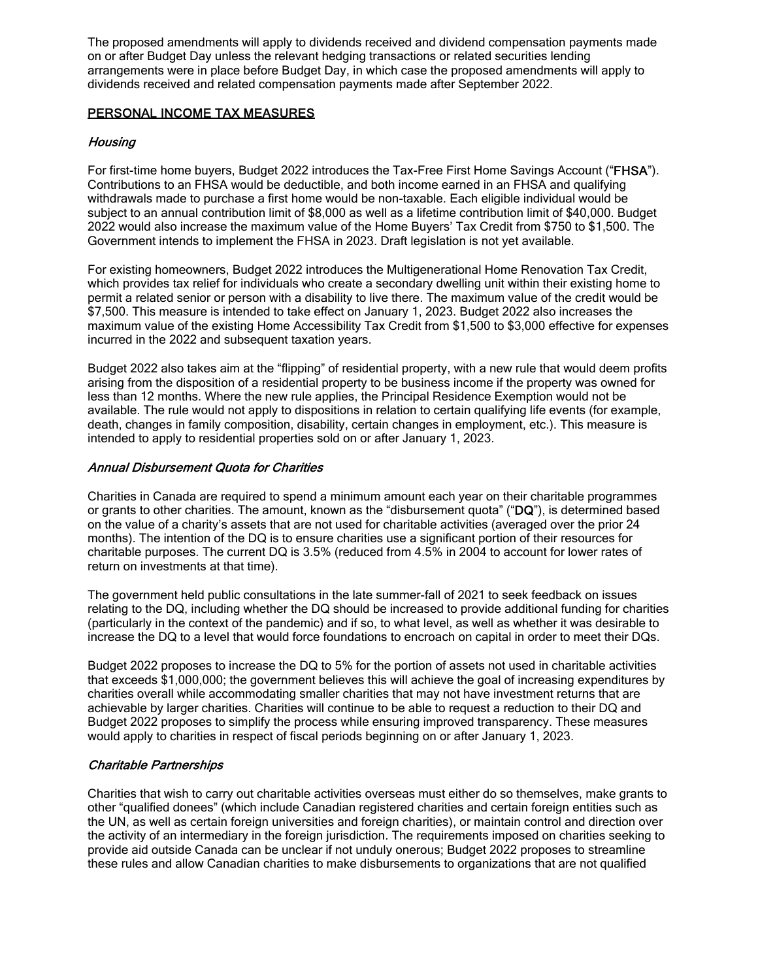The proposed amendments will apply to dividends received and dividend compensation payments made on or after Budget Day unless the relevant hedging transactions or related securities lending arrangements were in place before Budget Day, in which case the proposed amendments will apply to dividends received and related compensation payments made after September 2022.

# PERSONAL INCOME TAX MEASURES

# **Housing**

For first-time home buyers, Budget 2022 introduces the Tax-Free First Home Savings Account ("FHSA"). Contributions to an FHSA would be deductible, and both income earned in an FHSA and qualifying withdrawals made to purchase a first home would be non-taxable. Each eligible individual would be subject to an annual contribution limit of \$8,000 as well as a lifetime contribution limit of \$40,000. Budget 2022 would also increase the maximum value of the Home Buyers' Tax Credit from \$750 to \$1,500. The Government intends to implement the FHSA in 2023. Draft legislation is not yet available.

For existing homeowners, Budget 2022 introduces the Multigenerational Home Renovation Tax Credit, which provides tax relief for individuals who create a secondary dwelling unit within their existing home to permit a related senior or person with a disability to live there. The maximum value of the credit would be \$7,500. This measure is intended to take effect on January 1, 2023. Budget 2022 also increases the maximum value of the existing Home Accessibility Tax Credit from \$1,500 to \$3,000 effective for expenses incurred in the 2022 and subsequent taxation years.

Budget 2022 also takes aim at the "flipping" of residential property, with a new rule that would deem profits arising from the disposition of a residential property to be business income if the property was owned for less than 12 months. Where the new rule applies, the Principal Residence Exemption would not be available. The rule would not apply to dispositions in relation to certain qualifying life events (for example, death, changes in family composition, disability, certain changes in employment, etc.). This measure is intended to apply to residential properties sold on or after January 1, 2023.

# Annual Disbursement Quota for Charities

Charities in Canada are required to spend a minimum amount each year on their charitable programmes or grants to other charities. The amount, known as the "disbursement quota" ("DQ"), is determined based on the value of a charity's assets that are not used for charitable activities (averaged over the prior 24 months). The intention of the DQ is to ensure charities use a significant portion of their resources for charitable purposes. The current DQ is 3.5% (reduced from 4.5% in 2004 to account for lower rates of return on investments at that time).

The government held public consultations in the late summer-fall of 2021 to seek feedback on issues relating to the DQ, including whether the DQ should be increased to provide additional funding for charities (particularly in the context of the pandemic) and if so, to what level, as well as whether it was desirable to increase the DQ to a level that would force foundations to encroach on capital in order to meet their DQs.

Budget 2022 proposes to increase the DQ to 5% for the portion of assets not used in charitable activities that exceeds \$1,000,000; the government believes this will achieve the goal of increasing expenditures by charities overall while accommodating smaller charities that may not have investment returns that are achievable by larger charities. Charities will continue to be able to request a reduction to their DQ and Budget 2022 proposes to simplify the process while ensuring improved transparency. These measures would apply to charities in respect of fiscal periods beginning on or after January 1, 2023.

# Charitable Partnerships

Charities that wish to carry out charitable activities overseas must either do so themselves, make grants to other "qualified donees" (which include Canadian registered charities and certain foreign entities such as the UN, as well as certain foreign universities and foreign charities), or maintain control and direction over the activity of an intermediary in the foreign jurisdiction. The requirements imposed on charities seeking to provide aid outside Canada can be unclear if not unduly onerous; Budget 2022 proposes to streamline these rules and allow Canadian charities to make disbursements to organizations that are not qualified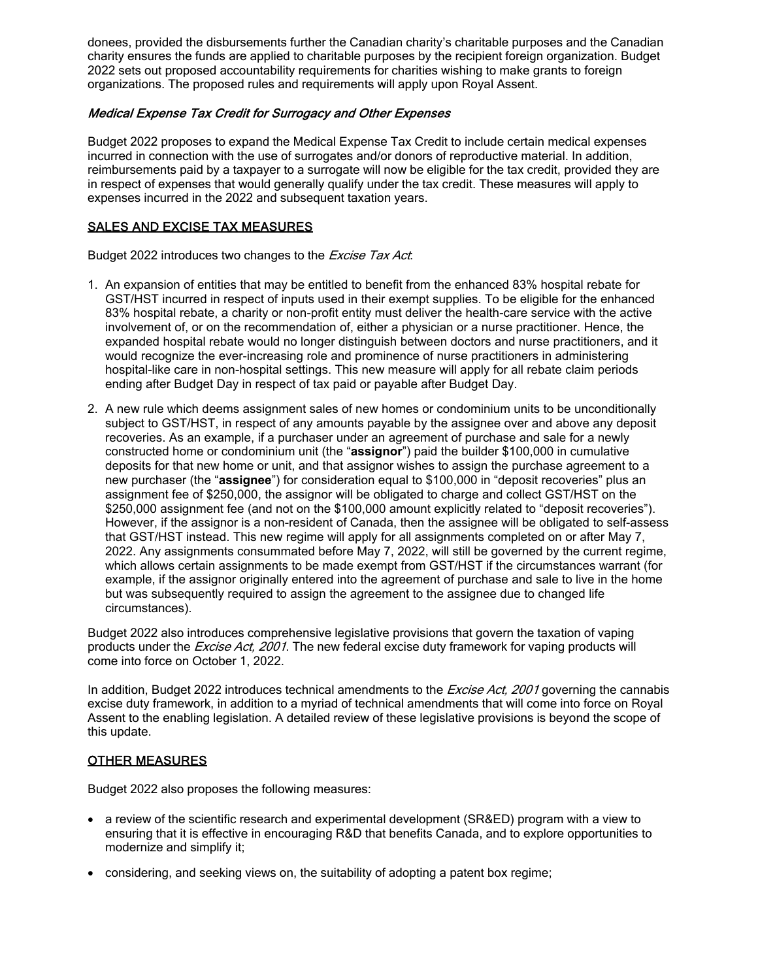donees, provided the disbursements further the Canadian charity's charitable purposes and the Canadian charity ensures the funds are applied to charitable purposes by the recipient foreign organization. Budget 2022 sets out proposed accountability requirements for charities wishing to make grants to foreign organizations. The proposed rules and requirements will apply upon Royal Assent.

# Medical Expense Tax Credit for Surrogacy and Other Expenses

Budget 2022 proposes to expand the Medical Expense Tax Credit to include certain medical expenses incurred in connection with the use of surrogates and/or donors of reproductive material. In addition, reimbursements paid by a taxpayer to a surrogate will now be eligible for the tax credit, provided they are in respect of expenses that would generally qualify under the tax credit. These measures will apply to expenses incurred in the 2022 and subsequent taxation years.

#### SALES AND EXCISE TAX MEASURES

Budget 2022 introduces two changes to the Excise Tax Act.

- 1. An expansion of entities that may be entitled to benefit from the enhanced 83% hospital rebate for GST/HST incurred in respect of inputs used in their exempt supplies. To be eligible for the enhanced 83% hospital rebate, a charity or non-profit entity must deliver the health-care service with the active involvement of, or on the recommendation of, either a physician or a nurse practitioner. Hence, the expanded hospital rebate would no longer distinguish between doctors and nurse practitioners, and it would recognize the ever-increasing role and prominence of nurse practitioners in administering hospital-like care in non-hospital settings. This new measure will apply for all rebate claim periods ending after Budget Day in respect of tax paid or payable after Budget Day.
- 2. A new rule which deems assignment sales of new homes or condominium units to be unconditionally subject to GST/HST, in respect of any amounts payable by the assignee over and above any deposit recoveries. As an example, if a purchaser under an agreement of purchase and sale for a newly constructed home or condominium unit (the "**assignor**") paid the builder \$100,000 in cumulative deposits for that new home or unit, and that assignor wishes to assign the purchase agreement to a new purchaser (the "**assignee**") for consideration equal to \$100,000 in "deposit recoveries" plus an assignment fee of \$250,000, the assignor will be obligated to charge and collect GST/HST on the \$250,000 assignment fee (and not on the \$100,000 amount explicitly related to "deposit recoveries"). However, if the assignor is a non-resident of Canada, then the assignee will be obligated to self-assess that GST/HST instead. This new regime will apply for all assignments completed on or after May 7, 2022. Any assignments consummated before May 7, 2022, will still be governed by the current regime, which allows certain assignments to be made exempt from GST/HST if the circumstances warrant (for example, if the assignor originally entered into the agreement of purchase and sale to live in the home but was subsequently required to assign the agreement to the assignee due to changed life circumstances).

Budget 2022 also introduces comprehensive legislative provisions that govern the taxation of vaping products under the *Excise Act, 2001*. The new federal excise duty framework for vaping products will come into force on October 1, 2022.

In addition, Budget 2022 introduces technical amendments to the *Excise Act, 2001* governing the cannabis excise duty framework, in addition to a myriad of technical amendments that will come into force on Royal Assent to the enabling legislation. A detailed review of these legislative provisions is beyond the scope of this update.

# OTHER MEASURES

Budget 2022 also proposes the following measures:

- · a review of the scientific research and experimental development (SR&ED) program with a view to ensuring that it is effective in encouraging R&D that benefits Canada, and to explore opportunities to modernize and simplify it;
- · considering, and seeking views on, the suitability of adopting a patent box regime;